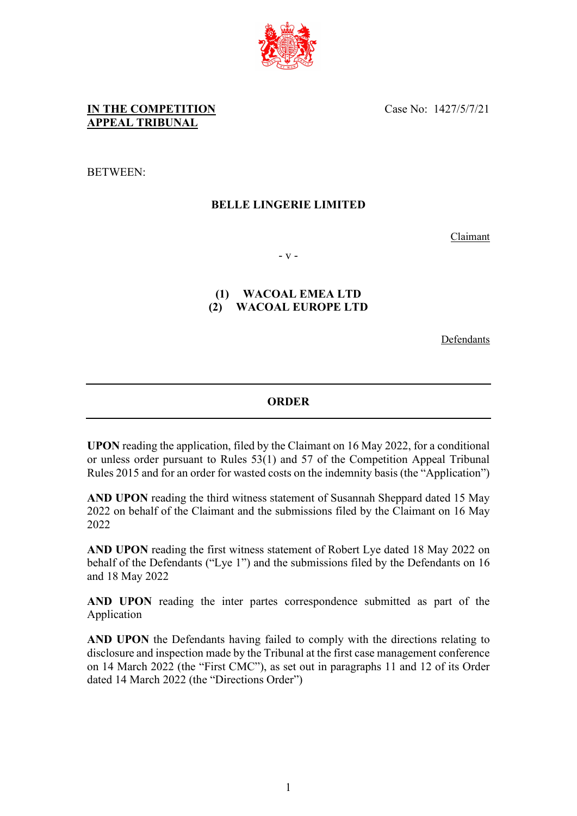

BETWEEN:

### **BELLE LINGERIE LIMITED**

Claimant

- v -

# **(1) WACOAL EMEA LTD (2) WACOAL EUROPE LTD**

Defendants

## **ORDER**

**UPON** reading the application, filed by the Claimant on 16 May 2022, for a conditional or unless order pursuant to Rules 53(1) and 57 of the Competition Appeal Tribunal Rules 2015 and for an order for wasted costs on the indemnity basis (the "Application")

**AND UPON** reading the third witness statement of Susannah Sheppard dated 15 May 2022 on behalf of the Claimant and the submissions filed by the Claimant on 16 May 2022

**AND UPON** reading the first witness statement of Robert Lye dated 18 May 2022 on behalf of the Defendants ("Lye 1") and the submissions filed by the Defendants on 16 and 18 May 2022

**AND UPON** reading the inter partes correspondence submitted as part of the Application

**AND UPON** the Defendants having failed to comply with the directions relating to disclosure and inspection made by the Tribunal at the first case management conference on 14 March 2022 (the "First CMC"), as set out in paragraphs 11 and 12 of its Order dated 14 March 2022 (the "Directions Order")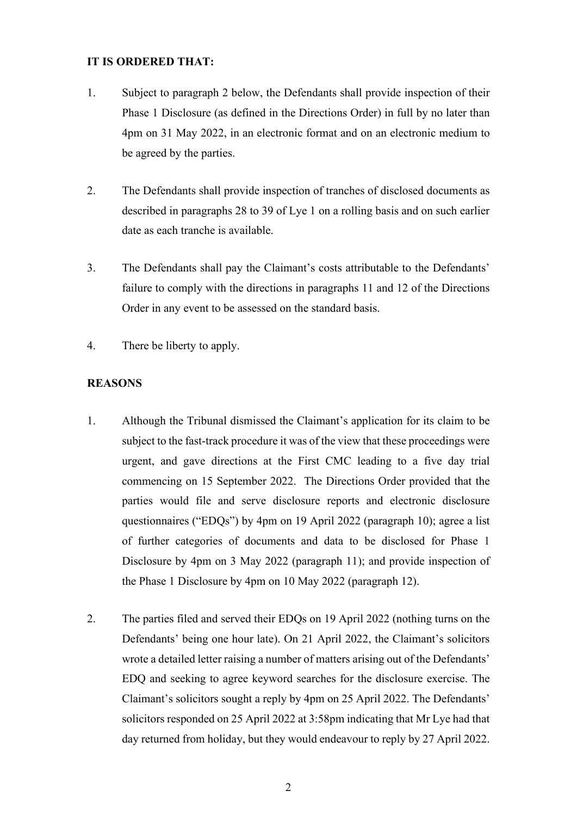#### **IT IS ORDERED THAT:**

- 1. Subject to paragraph 2 below, the Defendants shall provide inspection of their Phase 1 Disclosure (as defined in the Directions Order) in full by no later than 4pm on 31 May 2022, in an electronic format and on an electronic medium to be agreed by the parties.
- 2. The Defendants shall provide inspection of tranches of disclosed documents as described in paragraphs 28 to 39 of Lye 1 on a rolling basis and on such earlier date as each tranche is available.
- 3. The Defendants shall pay the Claimant's costs attributable to the Defendants' failure to comply with the directions in paragraphs 11 and 12 of the Directions Order in any event to be assessed on the standard basis.
- 4. There be liberty to apply.

#### **REASONS**

- 1. Although the Tribunal dismissed the Claimant's application for its claim to be subject to the fast-track procedure it was of the view that these proceedings were urgent, and gave directions at the First CMC leading to a five day trial commencing on 15 September 2022. The Directions Order provided that the parties would file and serve disclosure reports and electronic disclosure questionnaires ("EDQs") by 4pm on 19 April 2022 (paragraph 10); agree a list of further categories of documents and data to be disclosed for Phase 1 Disclosure by 4pm on 3 May 2022 (paragraph 11); and provide inspection of the Phase 1 Disclosure by 4pm on 10 May 2022 (paragraph 12).
- 2. The parties filed and served their EDQs on 19 April 2022 (nothing turns on the Defendants' being one hour late). On 21 April 2022, the Claimant's solicitors wrote a detailed letter raising a number of matters arising out of the Defendants' EDQ and seeking to agree keyword searches for the disclosure exercise. The Claimant's solicitors sought a reply by 4pm on 25 April 2022. The Defendants' solicitors responded on 25 April 2022 at 3:58pm indicating that Mr Lye had that day returned from holiday, but they would endeavour to reply by 27 April 2022.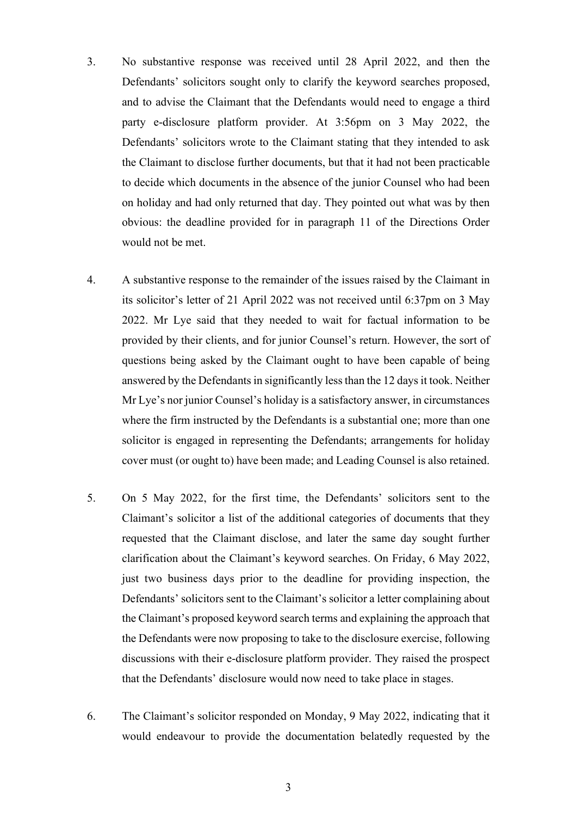- 3. No substantive response was received until 28 April 2022, and then the Defendants' solicitors sought only to clarify the keyword searches proposed, and to advise the Claimant that the Defendants would need to engage a third party e-disclosure platform provider. At 3:56pm on 3 May 2022, the Defendants' solicitors wrote to the Claimant stating that they intended to ask the Claimant to disclose further documents, but that it had not been practicable to decide which documents in the absence of the junior Counsel who had been on holiday and had only returned that day. They pointed out what was by then obvious: the deadline provided for in paragraph 11 of the Directions Order would not be met.
- 4. A substantive response to the remainder of the issues raised by the Claimant in its solicitor's letter of 21 April 2022 was not received until 6:37pm on 3 May 2022. Mr Lye said that they needed to wait for factual information to be provided by their clients, and for junior Counsel's return. However, the sort of questions being asked by the Claimant ought to have been capable of being answered by the Defendants in significantly less than the 12 days it took. Neither Mr Lye's nor junior Counsel's holiday is a satisfactory answer, in circumstances where the firm instructed by the Defendants is a substantial one; more than one solicitor is engaged in representing the Defendants; arrangements for holiday cover must (or ought to) have been made; and Leading Counsel is also retained.
- 5. On 5 May 2022, for the first time, the Defendants' solicitors sent to the Claimant's solicitor a list of the additional categories of documents that they requested that the Claimant disclose, and later the same day sought further clarification about the Claimant's keyword searches. On Friday, 6 May 2022, just two business days prior to the deadline for providing inspection, the Defendants' solicitors sent to the Claimant's solicitor a letter complaining about the Claimant's proposed keyword search terms and explaining the approach that the Defendants were now proposing to take to the disclosure exercise, following discussions with their e-disclosure platform provider. They raised the prospect that the Defendants' disclosure would now need to take place in stages.
- 6. The Claimant's solicitor responded on Monday, 9 May 2022, indicating that it would endeavour to provide the documentation belatedly requested by the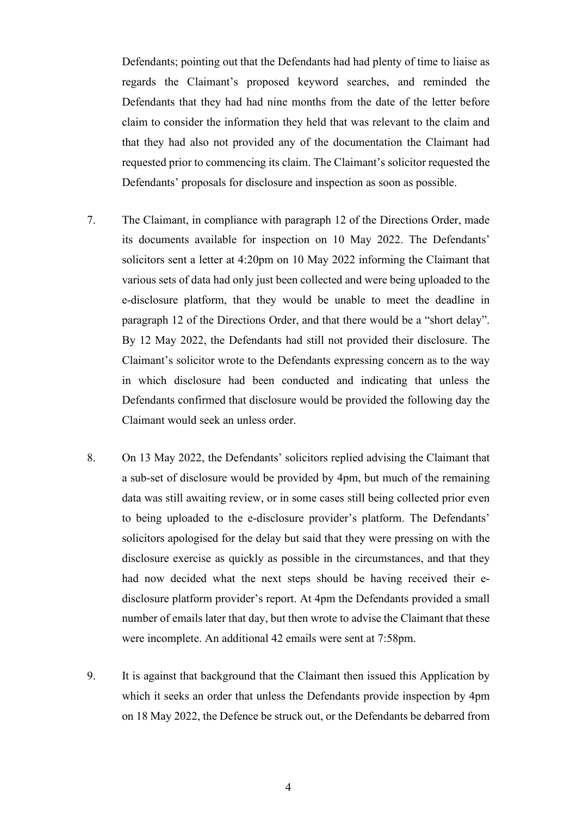Defendants; pointing out that the Defendants had had plenty of time to liaise as regards the Claimant's proposed keyword searches, and reminded the Defendants that they had had nine months from the date of the letter before claim to consider the information they held that was relevant to the claim and that they had also not provided any of the documentation the Claimant had requested prior to commencing its claim. The Claimant's solicitor requested the Defendants' proposals for disclosure and inspection as soon as possible.

- 7. The Claimant, in compliance with paragraph 12 of the Directions Order, made its documents available for inspection on 10 May 2022. The Defendants' solicitors sent a letter at 4:20pm on 10 May 2022 informing the Claimant that various sets of data had only just been collected and were being uploaded to the e-disclosure platform, that they would be unable to meet the deadline in paragraph 12 of the Directions Order, and that there would be a "short delay". By 12 May 2022, the Defendants had still not provided their disclosure. The Claimant's solicitor wrote to the Defendants expressing concern as to the way in which disclosure had been conducted and indicating that unless the Defendants confirmed that disclosure would be provided the following day the Claimant would seek an unless order.
- 8. On 13 May 2022, the Defendants' solicitors replied advising the Claimant that a sub-set of disclosure would be provided by 4pm, but much of the remaining data was still awaiting review, or in some cases still being collected prior even to being uploaded to the e-disclosure provider's platform. The Defendants' solicitors apologised for the delay but said that they were pressing on with the disclosure exercise as quickly as possible in the circumstances, and that they had now decided what the next steps should be having received their edisclosure platform provider's report. At 4pm the Defendants provided a small number of emails later that day, but then wrote to advise the Claimant that these were incomplete. An additional 42 emails were sent at 7:58pm.
- 9. It is against that background that the Claimant then issued this Application by which it seeks an order that unless the Defendants provide inspection by 4pm on 18 May 2022, the Defence be struck out, or the Defendants be debarred from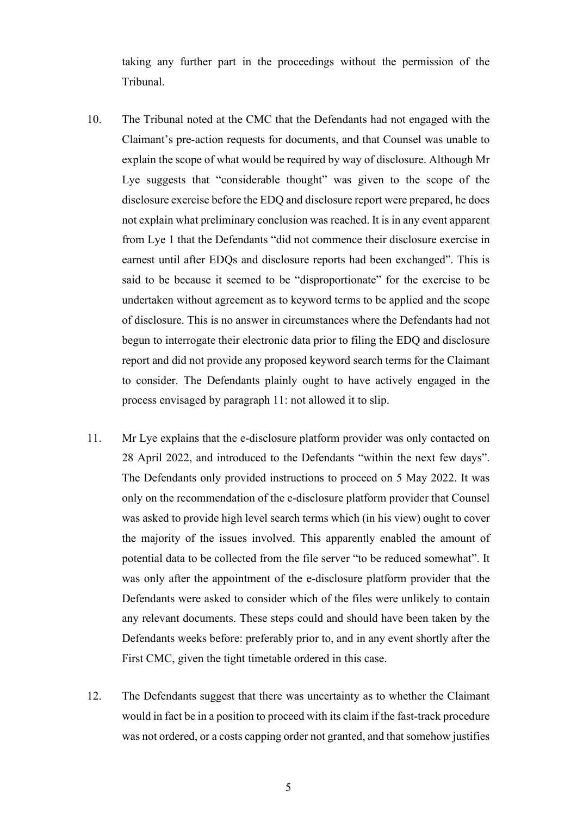taking any further part in the proceedings without the permission of the Tribunal.

- 10. The Tribunal noted at the CMC that the Defendants had not engaged with the Claimant's pre-action requests for documents, and that Counsel was unable to explain the scope of what would be required by way of disclosure. Although Mr Lye suggests that "considerable thought" was given to the scope of the disclosure exercise before the EDQ and disclosure report were prepared, he does not explain what preliminary conclusion was reached. It is in any event apparent from Lye 1 that the Defendants "did not commence their disclosure exercise in earnest until after EDQs and disclosure reports had been exchanged". This is said to be because it seemed to be "disproportionate" for the exercise to be undertaken without agreement as to keyword terms to be applied and the scope of disclosure. This is no answer in circumstances where the Defendants had not begun to interrogate their electronic data prior to filing the EDQ and disclosure report and did not provide any proposed keyword search terms for the Claimant to consider. The Defendants plainly ought to have actively engaged in the process envisaged by paragraph 11: not allowed it to slip.
- 11. Mr Lye explains that the e-disclosure platform provider was only contacted on 28 April 2022, and introduced to the Defendants "within the next few days". The Defendants only provided instructions to proceed on 5 May 2022. It was only on the recommendation of the e-disclosure platform provider that Counsel was asked to provide high level search terms which (in his view) ought to cover the majority of the issues involved. This apparently enabled the amount of potential data to be collected from the file server "to be reduced somewhat". It was only after the appointment of the e-disclosure platform provider that the Defendants were asked to consider which of the files were unlikely to contain any relevant documents. These steps could and should have been taken by the Defendants weeks before: preferably prior to, and in any event shortly after the First CMC, given the tight timetable ordered in this case.
- 12. The Defendants suggest that there was uncertainty as to whether the Claimant would in fact be in a position to proceed with its claim if the fast-track procedure was not ordered, or a costs capping order not granted, and that somehow justifies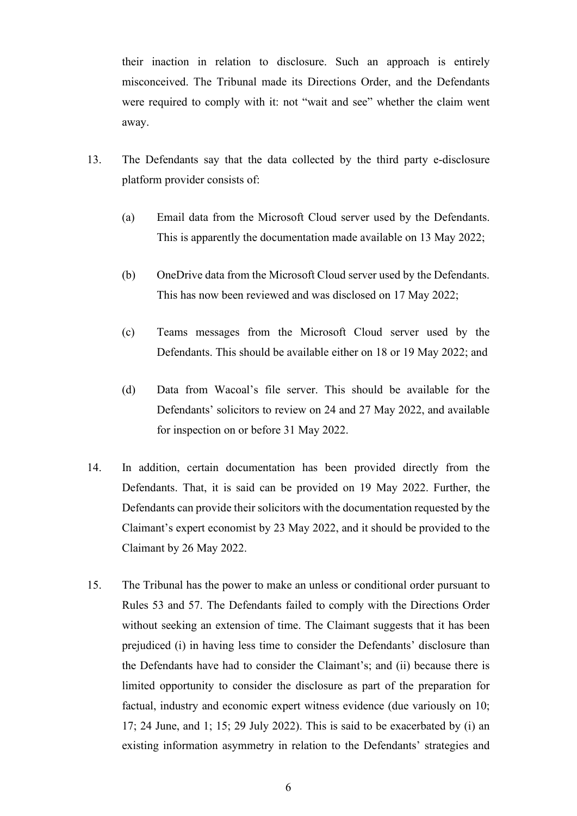their inaction in relation to disclosure. Such an approach is entirely misconceived. The Tribunal made its Directions Order, and the Defendants were required to comply with it: not "wait and see" whether the claim went away.

- 13. The Defendants say that the data collected by the third party e-disclosure platform provider consists of:
	- (a) Email data from the Microsoft Cloud server used by the Defendants. This is apparently the documentation made available on 13 May 2022;
	- (b) OneDrive data from the Microsoft Cloud server used by the Defendants. This has now been reviewed and was disclosed on 17 May 2022;
	- (c) Teams messages from the Microsoft Cloud server used by the Defendants. This should be available either on 18 or 19 May 2022; and
	- (d) Data from Wacoal's file server. This should be available for the Defendants' solicitors to review on 24 and 27 May 2022, and available for inspection on or before 31 May 2022.
- 14. In addition, certain documentation has been provided directly from the Defendants. That, it is said can be provided on 19 May 2022. Further, the Defendants can provide their solicitors with the documentation requested by the Claimant's expert economist by 23 May 2022, and it should be provided to the Claimant by 26 May 2022.
- 15. The Tribunal has the power to make an unless or conditional order pursuant to Rules 53 and 57. The Defendants failed to comply with the Directions Order without seeking an extension of time. The Claimant suggests that it has been prejudiced (i) in having less time to consider the Defendants' disclosure than the Defendants have had to consider the Claimant's; and (ii) because there is limited opportunity to consider the disclosure as part of the preparation for factual, industry and economic expert witness evidence (due variously on 10; 17; 24 June, and 1; 15; 29 July 2022). This is said to be exacerbated by (i) an existing information asymmetry in relation to the Defendants' strategies and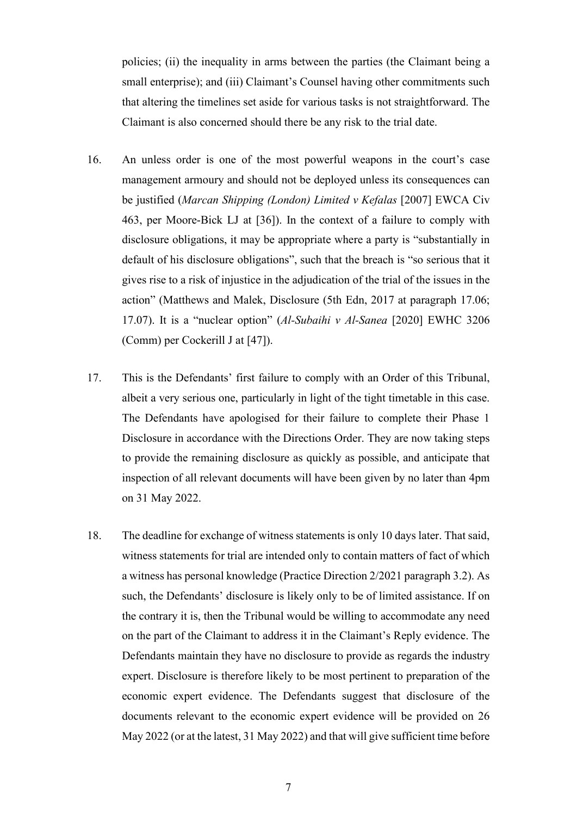policies; (ii) the inequality in arms between the parties (the Claimant being a small enterprise); and (iii) Claimant's Counsel having other commitments such that altering the timelines set aside for various tasks is not straightforward. The Claimant is also concerned should there be any risk to the trial date.

- 16. An unless order is one of the most powerful weapons in the court's case management armoury and should not be deployed unless its consequences can be justified (*Marcan Shipping (London) Limited v Kefalas* [2007] EWCA Civ 463, per Moore-Bick LJ at [36]). In the context of a failure to comply with disclosure obligations, it may be appropriate where a party is "substantially in default of his disclosure obligations", such that the breach is "so serious that it gives rise to a risk of injustice in the adjudication of the trial of the issues in the action" (Matthews and Malek, Disclosure (5th Edn, 2017 at paragraph 17.06; 17.07). It is a "nuclear option" (*Al-Subaihi v Al-Sanea* [2020] EWHC 3206 (Comm) per Cockerill J at [47]).
- 17. This is the Defendants' first failure to comply with an Order of this Tribunal, albeit a very serious one, particularly in light of the tight timetable in this case. The Defendants have apologised for their failure to complete their Phase 1 Disclosure in accordance with the Directions Order. They are now taking steps to provide the remaining disclosure as quickly as possible, and anticipate that inspection of all relevant documents will have been given by no later than 4pm on 31 May 2022.
- 18. The deadline for exchange of witness statements is only 10 days later. That said, witness statements for trial are intended only to contain matters of fact of which a witness has personal knowledge (Practice Direction 2/2021 paragraph 3.2). As such, the Defendants' disclosure is likely only to be of limited assistance. If on the contrary it is, then the Tribunal would be willing to accommodate any need on the part of the Claimant to address it in the Claimant's Reply evidence. The Defendants maintain they have no disclosure to provide as regards the industry expert. Disclosure is therefore likely to be most pertinent to preparation of the economic expert evidence. The Defendants suggest that disclosure of the documents relevant to the economic expert evidence will be provided on 26 May 2022 (or at the latest, 31 May 2022) and that will give sufficient time before